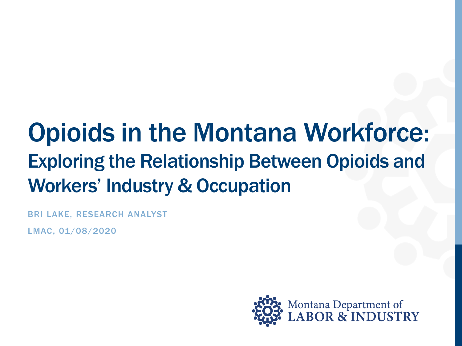## Opioids in the Montana Workforce: Exploring the Relationship Between Opioids and Workers' Industry & Occupation

BRI LAKE, RESEARCH ANALYST

LMAC, 01/08/2020

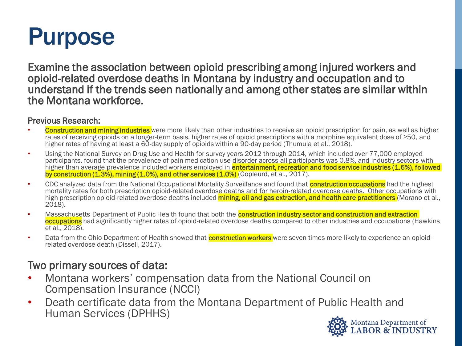## Purpose

Examine the association between opioid prescribing among injured workers and opioid-related overdose deaths in Montana by industry and occupation and to understand if the trends seen nationally and among other states are similar within the Montana workforce.

#### Previous Research:

- **Construction and mining industries** were more likely than other industries to receive an opioid prescription for pain, as well as higher rates of receiving opioids on a longer-term basis, higher rates of opioid prescriptions with a morphine equivalent dose of ≥50, and higher rates of having at least a 60-day supply of opioids within a 90-day period (Thumula et al., 2018).
- Using the National Survey on Drug Use and Health for survey years 2012 through 2014, which included over 77,000 employed participants, found that the prevalence of pain medication use disorder across all participants was 0.8%, and industry sectors with higher than average prevalence included workers employed in **entertainment, recreation and food service industries (1.6%), followed** by construction (1.3%), mining (1.0%), and other services (1.0%) (Gopleurd, et al., 2017).
- CDC analyzed data from the National Occupational Mortality Surveillance and found that **construction occupations** had the highest mortality rates for both prescription opioid-related overdose deaths and for heroin-related overdose deaths. Other occupations with high prescription opioid-related overdose deaths included **mining, oil and gas extraction, and health care practitioners** (Morano et al.,  $2018$ ).
- Massachusetts Department of Public Health found that both the **construction industry sector and construction and extraction occupations** had significantly higher rates of opioid-related overdose deaths compared to other industries and occupations (Hawkins et al., 2018).
- Data from the Ohio Department of Health showed that **construction workers** were seven times more likely to experience an opioidrelated overdose death (Dissell, 2017).

#### Two primary sources of data:

- Montana workers' compensation data from the National Council on Compensation Insurance (NCCI)
- Death certificate data from the Montana Department of Public Health and Human Services (DPHHS)

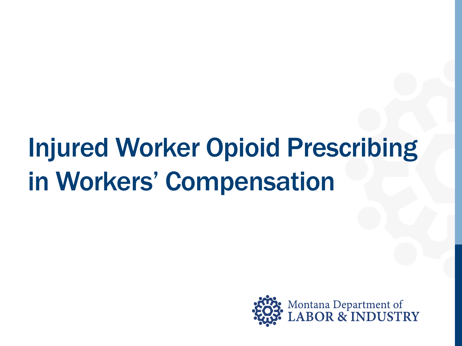## Injured Worker Opioid Prescribing in Workers' Compensation

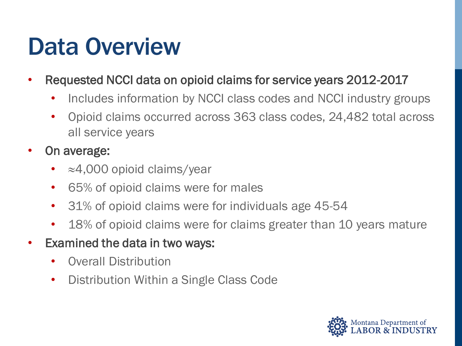## Data Overview

- Requested NCCI data on opioid claims for service years 2012-2017
	- Includes information by NCCI class codes and NCCI industry groups
	- Opioid claims occurred across 363 class codes, 24,482 total across all service years
- On average:
	- ≈4,000 opioid claims/year
	- 65% of opioid claims were for males
	- 31% of opioid claims were for individuals age 45-54
	- 18% of opioid claims were for claims greater than 10 years mature
- Examined the data in two ways:
	- Overall Distribution
	- Distribution Within a Single Class Code

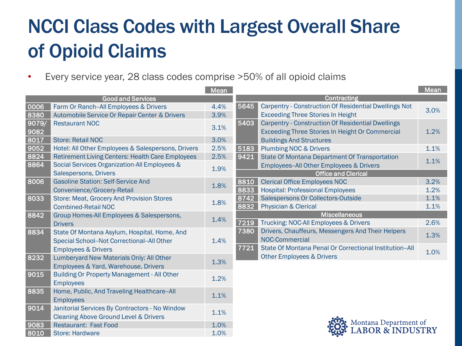### NCCI Class Codes with Largest Overall Share of Opioid Claims

• Every service year, 28 class codes comprise >50% of all opioid claims

|                          |                                                         | <b>Mean</b> |                      |                                                          | Mean |
|--------------------------|---------------------------------------------------------|-------------|----------------------|----------------------------------------------------------|------|
| <b>Good and Services</b> |                                                         |             |                      | Contracting                                              |      |
| 0006                     | Farm Or Ranch--All Employees & Drivers                  | 4.4%        | 5645                 | Carpentry - Construction Of Residential Dwellings Not    | 3.0% |
| 8380                     | Automobile Service Or Repair Center & Drivers           | 3.9%        |                      | <b>Exceeding Three Stories In Height</b>                 |      |
| 9079/                    | <b>Restaurant NOC</b>                                   |             | 5403                 | <b>Carpentry - Construction Of Residential Dwellings</b> |      |
| 9082                     |                                                         | 3.1%        |                      | <b>Exceeding Three Stories In Height Or Commercial</b>   | 1.2% |
| 8017                     | <b>Store: Retail NOC</b>                                | 3.0%        |                      | <b>Buildings And Structures</b>                          |      |
| 9052                     | Hotel: All Other Employees & Salespersons, Drivers      | 2.5%        | 5183                 | <b>Plumbing NOC &amp; Drivers</b>                        | 1.1% |
| 8824                     | <b>Retirement Living Centers: Health Care Employees</b> | 2.5%        | 9421                 | <b>State Of Montana Department Of Transportation</b>     |      |
| 8864                     | Social Services Organization-All Employees &            |             |                      | Employees--All Other Employees & Drivers                 | 1.1% |
|                          | Salespersons, Drivers                                   | 1.9%        |                      | <b>Office and Clerical</b>                               |      |
| 8006                     | <b>Gasoline Station: Self-Service And</b>               | 1.8%        | 8810                 | <b>Clerical Office Employees NOC</b>                     | 3.2% |
|                          | Convenience/Grocery-Retail                              |             | 8833                 | <b>Hospital: Professional Employees</b>                  | 1.2% |
| 8033                     | <b>Store: Meat, Grocery And Provision Stores</b>        | 1.8%        | 8742                 | Salespersons Or Collectors-Outside                       | 1.1% |
|                          | <b>Combined-Retail NOC</b>                              |             | 8832                 | <b>Physician &amp; Clerical</b>                          | 1.1% |
| 8842                     | Group Homes-All Employees & Salespersons,               | 1.4%        | <b>Miscellaneous</b> |                                                          |      |
|                          | <b>Drivers</b>                                          |             | 7219                 | Trucking: NOC-All Employees & Drivers                    | 2.6% |
| 8834                     | State Of Montana Asylum, Hospital, Home, And            |             | 7380                 | Drivers, Chauffeurs, Messengers And Their Helpers        | 1.3% |
|                          | Special School--Not Correctional--All Other             | 1.4%        |                      | NOC-Commercial                                           |      |
|                          | <b>Employees &amp; Drivers</b>                          |             | 7721                 | State Of Montana Penal Or Correctional Institution--All  | 1.0% |
| 8232                     | Lumberyard New Materials Only: All Other                |             |                      | <b>Other Employees &amp; Drivers</b>                     |      |
|                          | Employees & Yard, Warehouse, Drivers                    | 1.3%        |                      |                                                          |      |
| 9015                     | <b>Building Or Property Management - All Other</b>      |             |                      |                                                          |      |
|                          | <b>Employees</b>                                        | 1.2%        |                      |                                                          |      |
| 8835                     | Home, Public, And Traveling Healthcare--All             |             |                      |                                                          |      |
|                          | <b>Employees</b>                                        | 1.1%        |                      |                                                          |      |
| 9014                     | Janitorial Services By Contractors - No Window          |             |                      |                                                          |      |
|                          | Cleaning Above Ground Level & Drivers                   | 1.1%        |                      |                                                          |      |
| 9083                     | <b>Restaurant: Fast Food</b>                            | 1.0%        |                      | Montana Department of<br>LABOR & INDUSTRY                |      |
| 8010                     | <b>Store: Hardware</b>                                  | 1.0%        |                      |                                                          |      |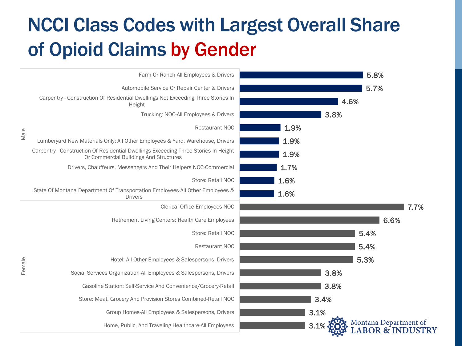### NCCI Class Codes with Largest Overall Share of Opioid Claims by Gender

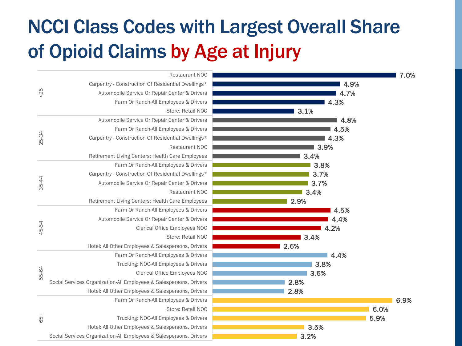### NCCI Class Codes with Largest Overall Share of Opioid Claims by Age at Injury

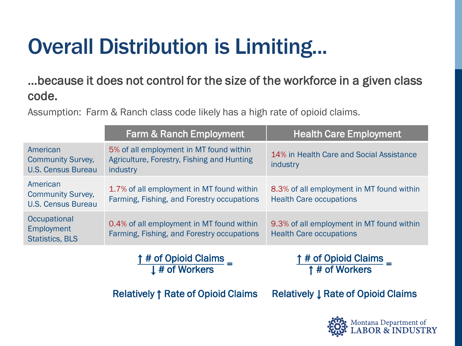## Overall Distribution is Limiting...

### …because it does not control for the size of the workforce in a given class code.

Assumption: Farm & Ranch class code likely has a high rate of opioid claims.

|                                                                   | <b>Farm &amp; Ranch Employment</b>                                                                | <b>Health Care Employment</b>                                               |
|-------------------------------------------------------------------|---------------------------------------------------------------------------------------------------|-----------------------------------------------------------------------------|
| American<br><b>Community Survey,</b><br><b>U.S. Census Bureau</b> | 5% of all employment in MT found within<br>Agriculture, Forestry, Fishing and Hunting<br>industry | 14% in Health Care and Social Assistance<br>industry                        |
| American<br><b>Community Survey,</b><br><b>U.S. Census Bureau</b> | 1.7% of all employment in MT found within<br>Farming, Fishing, and Forestry occupations           | 8.3% of all employment in MT found within<br><b>Health Care occupations</b> |
| Occupational<br>Employment<br><b>Statistics, BLS</b>              | 0.4% of all employment in MT found within<br>Farming, Fishing, and Forestry occupations           | 9.3% of all employment in MT found within<br><b>Health Care occupations</b> |

# of Opioid Claims <sup>↓</sup> # of Workers <sup>=</sup>

# of Opioid Claims \_ <sup>↑</sup> # of Workers <sup>=</sup>

Relatively ↑ Rate of Opioid Claims

Relatively ↓ Rate of Opioid Claims

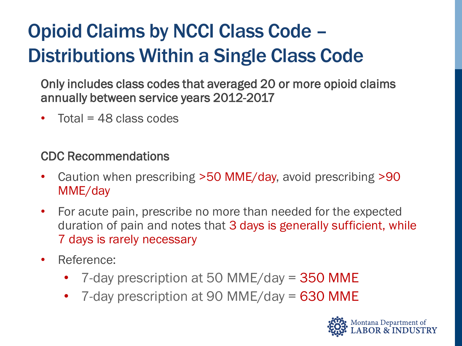### Opioid Claims by NCCI Class Code – Distributions Within a Single Class Code

Only includes class codes that averaged 20 or more opioid claims annually between service years 2012-2017

• Total =  $48$  class codes

### CDC Recommendations

- Caution when prescribing >50 MME/day, avoid prescribing >90 MME/day
- For acute pain, prescribe no more than needed for the expected duration of pain and notes that 3 days is generally sufficient, while 7 days is rarely necessary
- Reference:
	- 7-day prescription at 50 MME/day = 350 MME
	- 7-day prescription at 90 MME/day = 630 MME

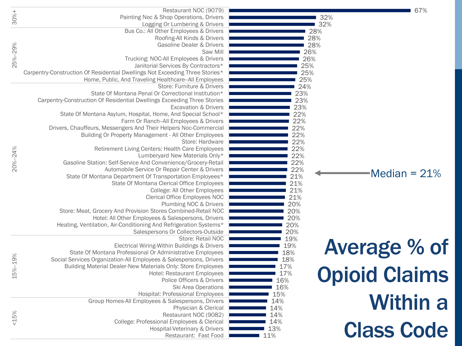|          | Restaurant NOC (9079)                                                        | 67%                         |
|----------|------------------------------------------------------------------------------|-----------------------------|
| $30% +$  | Painting Noc & Shop Operations, Drivers                                      | 32%                         |
|          | Logging Or Lumbering & Drivers                                               | 32%                         |
|          | Bus Co.: All Other Employees & Drivers                                       | 28%                         |
| 25%-29%  | Roofing-All Kinds & Drivers                                                  | 28%                         |
|          | Gasoline Dealer & Drivers                                                    | 28%                         |
|          | Saw Mill                                                                     | 26%                         |
|          | Trucking: NOC-All Employees & Drivers                                        | 26%                         |
|          | Janitorial Services By Contractors*                                          | 25%                         |
|          | Carpentry-Construction Of Residential Dwellings Not Exceeding Three Stories* | 25%                         |
|          | Home, Public, And Traveling Healthcare--All Employees                        | 25%                         |
|          | Store: Furniture & Drivers                                                   | 24%                         |
|          | State Of Montana Penal Or Correctional Institution*                          | 23%                         |
|          | Carpentry-Construction Of Residential Dwellings Exceeding Three Stories      | 23%                         |
|          | <b>Excavation &amp; Drivers</b>                                              | 23%                         |
|          | State Of Montana Asylum, Hospital, Home, And Special School*                 | 22%                         |
|          | Farm Or Ranch--All Employees & Drivers                                       | 22%                         |
|          | Drivers, Chauffeurs, Messengers And Their Helpers Noc-Commercial             | 22%                         |
|          | Building Or Property Management - All Other Employees                        | 22%                         |
|          | Store: Hardware                                                              | 22%                         |
|          | Retirement Living Centers: Health Care Employees                             | 22%                         |
| 20%-24%  | Lumberyard New Materials Only*                                               | 22%                         |
|          | Gasoline Station: Self-Service And Convenience/Grocery-Retail                | 22%                         |
|          | Automobile Service Or Repair Center & Drivers                                | 22%<br>$-Median = 21%$      |
|          | State Of Montana Department Of Transportation Employees*                     | 21%                         |
|          | State Of Montana Clerical Office Employees                                   | 21%                         |
|          | College: All Other Employees                                                 | 21%                         |
|          | Clerical Office Employees NOC<br>Plumbing NOC & Drivers                      | 21%<br>20%                  |
|          | Store: Meat, Grocery And Provision Stores Combined-Retail NOC                | 20%                         |
|          | Hotel: All Other Employees & Salespersons, Drivers                           | 20%                         |
|          | Heating, Ventilation, Air-Conditioning And Refrigeration Systems*            | 20%                         |
|          | Salespersons Or Collectors-Outside                                           | 20%                         |
|          | Store: Retail NOC                                                            | 19%                         |
|          | Electrical Wiring-Within Buildings & Drivers                                 | 19%                         |
|          | State Of Montana Professional Or Administrative Employees                    | <b>Average % of</b><br>18%  |
| 15%-19%  | Social Services Organization-All Employees & Salespersons, Drivers           | 18%                         |
|          | Building Material Dealer-New Materials Only: Store Employees                 | 17%                         |
|          | Hotel: Restaurant Employees                                                  | <b>Opioid Claims</b><br>17% |
|          | Police Officers & Drivers                                                    | 16%                         |
|          | Ski Area Operations                                                          | 16%                         |
|          | Hospital: Professional Employees                                             | 15%                         |
|          | Group Homes-All Employees & Salespersons, Drivers                            | <b>Within a</b><br>14%      |
|          | Physician & Clerical                                                         | 14%                         |
| $< 15\%$ | Restaurant NOC (9082)                                                        | 14%                         |
|          | College: Professional Employees & Clerical                                   | 14%                         |
|          | Hospital-Veterinary & Drivers                                                | <b>Class Code</b><br>13%    |
|          | Restaurant: Fast Food                                                        | 11%                         |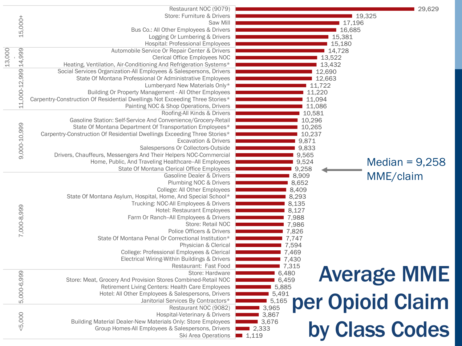|        |                      | Restaurant NOC (9079)                                                        | 29,629                      |
|--------|----------------------|------------------------------------------------------------------------------|-----------------------------|
|        |                      | Store: Furniture & Drivers                                                   | ■ 19,325                    |
|        |                      | Saw Mill                                                                     | 17,196                      |
|        | 15,000+              | Bus Co.: All Other Employees & Drivers                                       | 16,685                      |
|        |                      | Logging Or Lumbering & Drivers                                               | 15,381                      |
|        |                      | <b>Hospital: Professional Employees</b>                                      | 15,180                      |
|        |                      | Automobile Service Or Repair Center & Drivers                                | 14,728                      |
|        |                      | <b>Clerical Office Employees NOC</b>                                         | 13,522                      |
| 13,000 |                      | Heating, Ventilation, Air-Conditioning And Refrigeration Systems*            | 13,432                      |
|        | 11,000-12,999 14,999 | Social Services Organization-All Employees & Salespersons, Drivers           | 12,690                      |
|        |                      | State Of Montana Professional Or Administrative Employees                    | 12,663                      |
|        |                      | Lumberyard New Materials Only*                                               | 11,722                      |
|        |                      | Building Or Property Management - All Other Employees                        | 11,220                      |
|        |                      | Carpentry-Construction Of Residential Dwellings Not Exceeding Three Stories* | 11,094                      |
|        |                      | Painting NOC & Shop Operations, Drivers                                      | 11,086                      |
|        |                      | Roofing-All Kinds & Drivers                                                  | 10,581                      |
|        |                      | Gasoline Station: Self-Service And Convenience/Grocery-Retail                |                             |
|        |                      |                                                                              | 10,296                      |
|        |                      | State Of Montana Department Of Transportation Employees*                     | 10,265                      |
|        |                      | Carpentry-Construction Of Residential Dwellings Exceeding Three Stories*     | 10,237                      |
|        |                      | <b>Excavation &amp; Drivers</b>                                              | 9,871                       |
|        | 9,000-10,999         | Salespersons Or Collectors-Outside                                           | 9,833                       |
|        |                      | Drivers, Chauffeurs, Messengers And Their Helpers NOC-Commercial             | 9,565                       |
|        |                      | Home, Public, And Traveling Healthcare--All Employees                        | Median = $9,258$<br>9,524   |
|        |                      | State Of Montana Clerical Office Employees                                   | 9,258                       |
|        |                      | Gasoline Dealer & Drivers                                                    | MME/claim<br>8,909          |
|        |                      | Plumbing NOC & Drivers                                                       | 8,652                       |
|        |                      | College: All Other Employees                                                 | 8,409                       |
|        |                      | State Of Montana Asylum, Hospital, Home, And Special School*                 | 8,293                       |
|        |                      | Trucking: NOC-All Employees & Drivers                                        | 8,135                       |
|        | 7,000-8,999          | Hotel: Restaurant Employees                                                  | 8,127                       |
|        |                      | Farm Or Ranch-All Employees & Drivers                                        | 7,988                       |
|        |                      | Store: Retail NOC                                                            | 7,986                       |
|        |                      | Police Officers & Drivers                                                    | 7,826                       |
|        |                      | State Of Montana Penal Or Correctional Institution*                          | 7,747                       |
|        |                      | Physician & Clerical                                                         | 7,594                       |
|        |                      | College: Professional Employees & Clerical                                   | 7,469                       |
|        |                      | Electrical Wiring-Within Buildings & Drivers                                 | 7,430                       |
|        |                      | Restaurant: Fast Food                                                        | 7,315                       |
|        | 5,000-6,999          | Store: Hardware                                                              | <b>Average MME</b><br>6,480 |
|        |                      | Store: Meat, Grocery And Provision Stores Combined-Retail NOC                | 6,459                       |
|        |                      | Retirement Living Centers: Health Care Employees                             | 5,885                       |
|        |                      | Hotel: All Other Employees & Salespersons, Drivers                           | 5,491                       |
|        |                      | Janitorial Services By Contractors*                                          | per Opioid Claim<br>5,165   |
|        |                      | Restaurant NOC (9082)                                                        | 3,965                       |
|        |                      | Hospital-Veterinary & Drivers                                                | 3,867                       |
|        | < 5,000              | Building Material Dealer-New Materials Only: Store Employees                 | ■ 3,676                     |
|        |                      | Group Homes-All Employees & Salespersons, Drivers                            | by Class Codes<br>■ 2,333   |
|        |                      | Ski Area Operations 1,119                                                    |                             |
|        |                      |                                                                              |                             |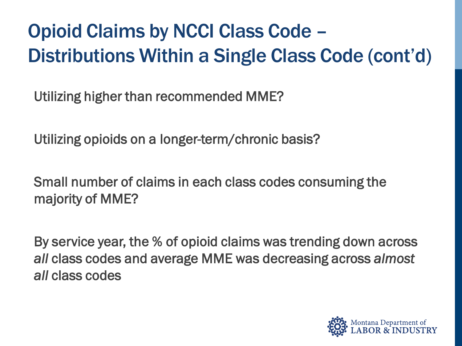### Opioid Claims by NCCI Class Code – Distributions Within a Single Class Code (cont'd)

Utilizing higher than recommended MME?

Utilizing opioids on a longer-term/chronic basis?

Small number of claims in each class codes consuming the majority of MME?

By service year, the % of opioid claims was trending down across *all* class codes and average MME was decreasing across *almost all* class codes

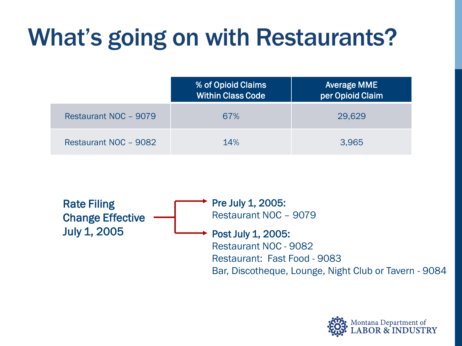## What's going on with Restaurants?

|                       | % of Opioid Claims<br>Within Class Code | <b>Average MME</b><br>per Opioid Claim |
|-----------------------|-----------------------------------------|----------------------------------------|
| Restaurant NOC - 9079 | 67%                                     | 29,629                                 |
| Restaurant NOC - 9082 | 14%                                     | 3.965                                  |



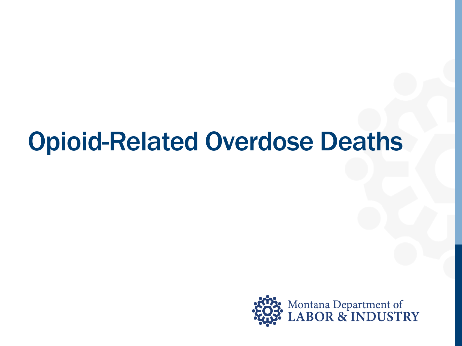## Opioid-Related Overdose Deaths

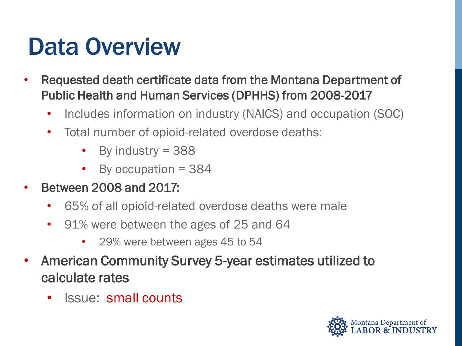## Data Overview

- Requested death certificate data from the Montana Department of Public Health and Human Services (DPHHS) from 2008-2017
	- Includes information on industry (NAICS) and occupation (SOC)
	- Total number of opioid-related overdose deaths:
		- By industry = 388
		- By occupation = 384
- Between 2008 and 2017:
	- 65% of all opioid-related overdose deaths were male
	- 91% were between the ages of 25 and 64
		- 29% were between ages 45 to 54
- American Community Survey 5-year estimates utilized to calculate rates
	- Issue: small counts

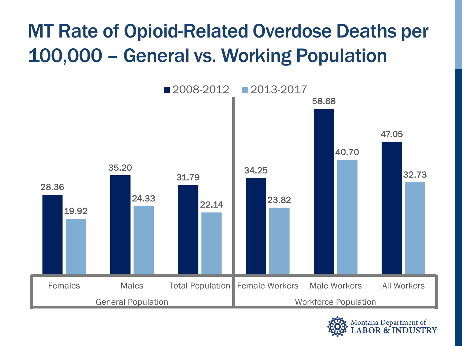### MT Rate of Opioid-Related Overdose Deaths per 100,000 – General vs. Working Population



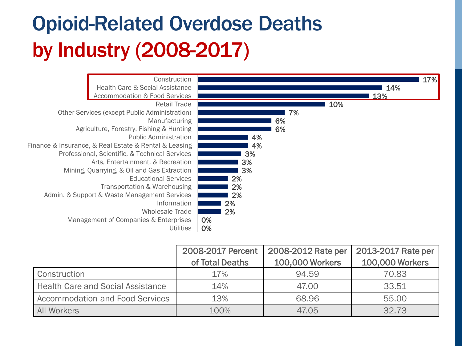### Opioid-Related Overdose Deaths by Industry (2008-2017)



|                                          | 2008-2017 Percent | 2008-2012 Rate per     | 2013-2017 Rate per |
|------------------------------------------|-------------------|------------------------|--------------------|
|                                          | of Total Deaths   | <b>100,000 Workers</b> | 100,000 Workers    |
| Construction                             | 17%               | 94.59                  | 70.83              |
| <b>Health Care and Social Assistance</b> | 14%               | 47.00                  | 33.51              |
| <b>Accommodation and Food Services</b>   | 13%               | 68.96                  | 55.00              |
| <b>All Workers</b>                       | 100%              | 47.05                  | 32.73              |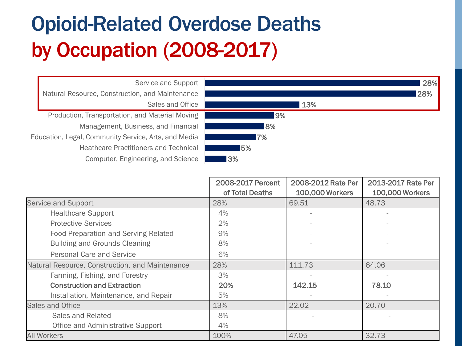### Opioid-Related Overdose Deaths by Occupation (2008-2017)



|                                                 | 2008-2017 Percent | 2008-2012 Rate Per     | 2013-2017 Rate Per     |
|-------------------------------------------------|-------------------|------------------------|------------------------|
|                                                 | of Total Deaths   | <b>100,000 Workers</b> | <b>100,000 Workers</b> |
| Service and Support                             | 28%               | 69.51                  | 48.73                  |
| <b>Healthcare Support</b>                       | 4%                |                        |                        |
| <b>Protective Services</b>                      | 2%                |                        |                        |
| Food Preparation and Serving Related            | 9%                |                        |                        |
| <b>Building and Grounds Cleaning</b>            | 8%                |                        |                        |
| Personal Care and Service                       | 6%                |                        |                        |
| Natural Resource, Construction, and Maintenance | 28%               | 111.73                 | 64.06                  |
| Farming, Fishing, and Forestry                  | 3%                |                        |                        |
| <b>Construction and Extraction</b>              | 20%               | 142.15                 | 78.10                  |
| Installation, Maintenance, and Repair           | 5%                |                        |                        |
| Sales and Office                                | 13%               | 22.02                  | 20.70                  |
| Sales and Related                               | 8%                |                        |                        |
| Office and Administrative Support               | 4%                |                        |                        |
| <b>All Workers</b>                              | 100%              | 47.05                  | 32.73                  |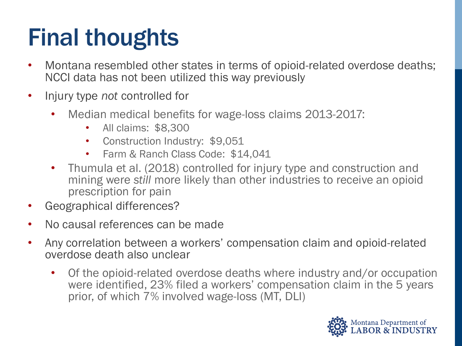## Final thoughts

- Montana resembled other states in terms of opioid-related overdose deaths; NCCI data has not been utilized this way previously
- Injury type *not* controlled for
	- Median medical benefits for wage-loss claims 2013-2017:
		- All claims: \$8,300
		- Construction Industry: \$9,051
		- Farm & Ranch Class Code: \$14,041
	- Thumula et al. (2018) controlled for injury type and construction and mining were *still* more likely than other industries to receive an opioid prescription for pain
- Geographical differences?
- No causal references can be made
- Any correlation between a workers' compensation claim and opioid-related overdose death also unclear
	- Of the opioid-related overdose deaths where industry and/or occupation were identified, 23% filed a workers' compensation claim in the 5 years prior, of which 7% involved wage-loss (MT, DLI)

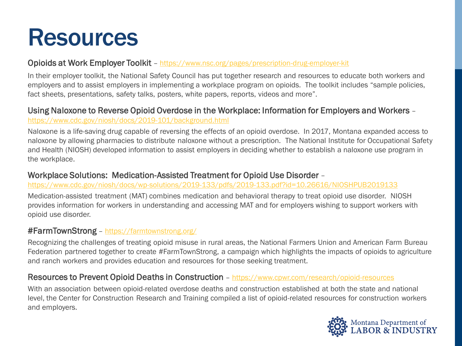## Resources

#### **Opioids at Work Employer Toolkit** – <https://www.nsc.org/pages/prescription-drug-employer-kit>

In their employer toolkit, the National Safety Council has put together research and resources to educate both workers and employers and to assist employers in implementing a workplace program on opioids. The toolkit includes "sample policies, fact sheets, presentations, safety talks, posters, white papers, reports, videos and more".

#### Using Naloxone to Reverse Opioid Overdose in the Workplace: Information for Employers and Workers – <https://www.cdc.gov/niosh/docs/2019-101/background.html>

Naloxone is a life-saving drug capable of reversing the effects of an opioid overdose. In 2017, Montana expanded access to naloxone by allowing pharmacies to distribute naloxone without a prescription. The National Institute for Occupational Safety and Health (NIOSH) developed information to assist employers in deciding whether to establish a naloxone use program in the workplace.

#### Workplace Solutions: Medication-Assisted Treatment for Opioid Use Disorder –

<https://www.cdc.gov/niosh/docs/wp-solutions/2019-133/pdfs/2019-133.pdf?id=10.26616/NIOSHPUB2019133>

Medication-assisted treatment (MAT) combines medication and behavioral therapy to treat opioid use disorder. NIOSH provides information for workers in understanding and accessing MAT and for employers wishing to support workers with opioid use disorder.

#### #FarmTownStrong – <https://farmtownstrong.org/>

Recognizing the challenges of treating opioid misuse in rural areas, the National Farmers Union and American Farm Bureau Federation partnered together to create #FarmTownStrong, a campaign which highlights the impacts of opioids to agriculture and ranch workers and provides education and resources for those seeking treatment.

#### Resources to Prevent Opioid Deaths in Construction - <https://www.cpwr.com/research/opioid-resources>

With an association between opioid-related overdose deaths and construction established at both the state and national level, the Center for Construction Research and Training compiled a list of opioid-related resources for construction workers and employers.

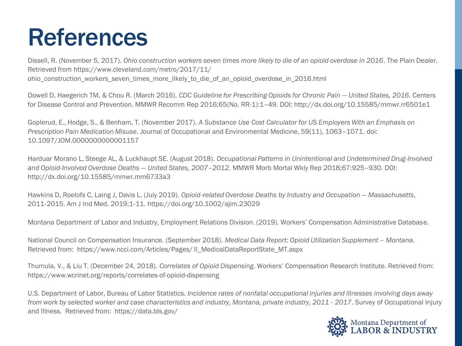## References

Dissell, R. (November 5, 2017). *Ohio construction workers seven times more likely to die of an opioid overdose in 2016*. The Plain Dealer. Retrieved from https://www.cleveland.com/metro/2017/11/ ohio construction workers seven times more likely to die of an opioid overdose in 2016.html

Dowell D, Haegerich TM, & Chou R. (March 2016). *CDC Guideline for Prescribing Opioids for Chronic Pain – United States, 2016*. Centers for Disease Control and Prevention. MMWR Recomm Rep 2016;65(No. RR-1):1–49. DOI: http://dx.doi.org/10.15585/mmwr.rr6501e1

Goplerud, E., Hodge, S., & Benham, T. (November 2017). *A Substance Use Cost Calculator for US Employers With an Emphasis on Prescription Pain Medication Misuse*. Journal of Occupational and Environmental Medicine, 59(11), 1063–1071. doi: 10.1097/JOM.0000000000001157

Harduar Morano L, Steege AL, & Luckhaupt SE. (August 2018). *Occupational Patterns in Unintentional and Undetermined Drug-Involved and Opioid-Involved Overdose Deaths — United States, 2007–2012*. MMWR Morb Mortal Wkly Rep 2018;67:925–930. DOI: http://dx.doi.org/10.15585/mmwr.mm6733a3

Hawkins D, Roelofs C, Laing J, Davis L. (July 2019). *Opioid*‐*related Overdose Deaths by Industry and Occupation — Massachusetts*, 2011‐2015. Am J Ind Med. 2019;1‐11. https://doi.org/10.1002/ajim.23029

Montana Department of Labor and Industry, Employment Relations Division. (2019). Workers' Compensation Administrative Database.

National Council on Compensation Insurance. (September 2018). *Medical Data Report: Opioid Utilization Supplement – Montana*. Retrieved from: https://www.ncci.com/Articles/Pages/ II\_MedicalDataReportState\_MT.aspx

Thumula, V., & Liu T. (December 24, 2018). *Correlates of Opioid Dispensing*. Workers' Compensation Research Institute. Retrieved from: https://www.wcrinet.org/reports/correlates-of-opioid-dispensing

U.S. Department of Labor, Bureau of Labor Statistics. *Incidence rates of nonfatal occupational injuries and illnesses involving days away from work by selected worker and case characteristics and industry, Montana, private industry, 2011 - 2017*. Survey of Occupational Injury and Illness. Retrieved from: https://data.bls.gov/